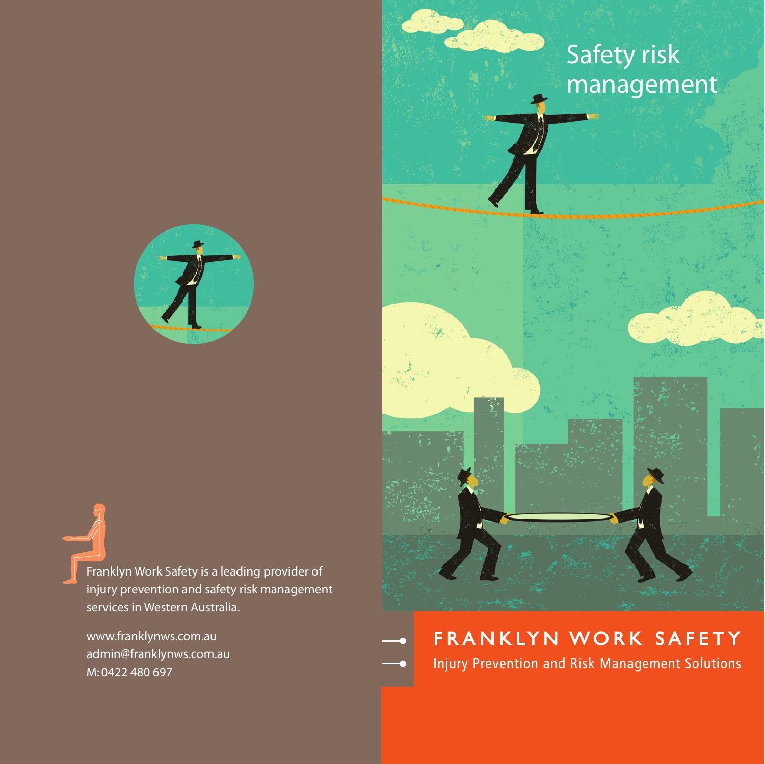Franklyn Work Safety is a leading provider of injury prevention and safety risk management services in Western Australia.

www.franklynws.com.au admin@franklynws.com.au M: 0422 480 697





## FRANKLYN WORK SAFETY